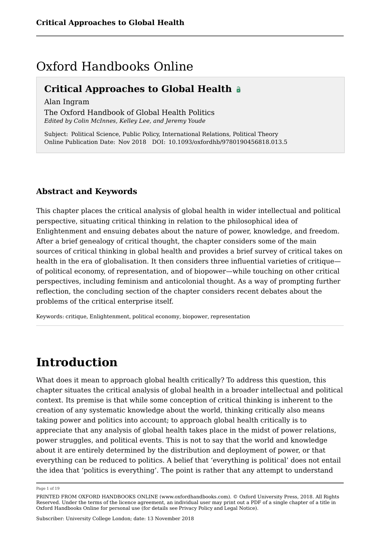## Oxford Handbooks Online

## **Critical Approaches to Global Health**

Alan Ingram

The Oxford Handbook of Global Health Politics *Edited by Colin McInnes, Kelley Lee, and Jeremy Youde*

Subject: Political Science, Public Policy, International Relations, Political Theory Online Publication Date: Nov 2018 DOI: 10.1093/oxfordhb/9780190456818.013.5

## **Abstract and Keywords**

This chapter places the critical analysis of global health in wider intellectual and political perspective, situating critical thinking in relation to the philosophical idea of Enlightenment and ensuing debates about the nature of power, knowledge, and freedom. After a brief genealogy of critical thought, the chapter considers some of the main sources of critical thinking in global health and provides a brief survey of critical takes on health in the era of globalisation. It then considers three influential varieties of critique of political economy, of representation, and of biopower—while touching on other critical perspectives, including feminism and anticolonial thought. As a way of prompting further reflection, the concluding section of the chapter considers recent debates about the problems of the critical enterprise itself.

Keywords: critique, Enlightenment, political economy, biopower, representation

## **Introduction**

What does it mean to approach global health critically? To address this question, this chapter situates the critical analysis of global health in a broader intellectual and political context. Its premise is that while some conception of critical thinking is inherent to the creation of any systematic knowledge about the world, thinking critically also means taking power and politics into account; to approach global health critically is to appreciate that any analysis of global health takes place in the midst of power relations, power struggles, and political events. This is not to say that the world and knowledge about it are entirely determined by the distribution and deployment of power, or that everything can be reduced to politics. A belief that 'everything is political' does not entail the idea that 'politics is everything'. The point is rather that any attempt to understand

Page 1 of 19

PRINTED FROM OXFORD HANDBOOKS ONLINE (www.oxfordhandbooks.com). © Oxford University Press, 2018. All Rights Reserved. Under the terms of the licence agreement, an individual user may print out a PDF of a single chapter of a title in Oxford Handbooks Online for personal use (for details see Privacy Policy and Legal Notice).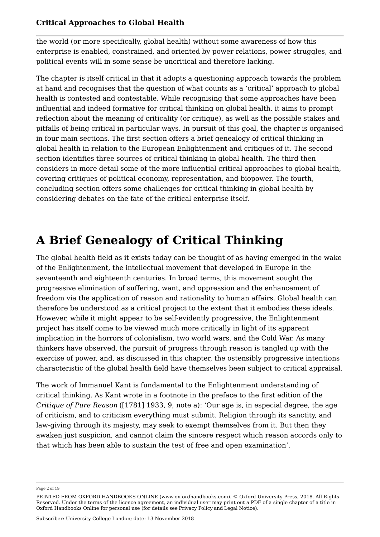the world (or more specifically, global health) without some awareness of how this enterprise is enabled, constrained, and oriented by power relations, power struggles, and political events will in some sense be uncritical and therefore lacking.

The chapter is itself critical in that it adopts a questioning approach towards the problem at hand and recognises that the question of what counts as a 'critical' approach to global health is contested and contestable. While recognising that some approaches have been influential and indeed formative for critical thinking on global health, it aims to prompt reflection about the meaning of criticality (or critique), as well as the possible stakes and pitfalls of being critical in particular ways. In pursuit of this goal, the chapter is organised in four main sections. The first section offers a brief genealogy of critical thinking in global health in relation to the European Enlightenment and critiques of it. The second section identifies three sources of critical thinking in global health. The third then considers in more detail some of the more influential critical approaches to global health, covering critiques of political economy, representation, and biopower. The fourth, concluding section offers some challenges for critical thinking in global health by considering debates on the fate of the critical enterprise itself.

# **A Brief Genealogy of Critical Thinking**

The global health field as it exists today can be thought of as having emerged in the wake of the Enlightenment, the intellectual movement that developed in Europe in the seventeenth and eighteenth centuries. In broad terms, this movement sought the progressive elimination of suffering, want, and oppression and the enhancement of freedom via the application of reason and rationality to human affairs. Global health can therefore be understood as a critical project to the extent that it embodies these ideals. However, while it might appear to be self-evidently progressive, the Enlightenment project has itself come to be viewed much more critically in light of its apparent implication in the horrors of colonialism, two world wars, and the Cold War. As many thinkers have observed, the pursuit of progress through reason is tangled up with the exercise of power, and, as discussed in this chapter, the ostensibly progressive intentions characteristic of the global health field have themselves been subject to critical appraisal.

The work of Immanuel Kant is fundamental to the Enlightenment understanding of critical thinking. As Kant wrote in a footnote in the preface to the first edition of the *Critique of Pure Reason* ([1781] 1933, 9, note a): 'Our age is, in especial degree, the age of criticism, and to criticism everything must submit. Religion through its sanctity, and law-giving through its majesty, may seek to exempt themselves from it. But then they awaken just suspicion, and cannot claim the sincere respect which reason accords only to that which has been able to sustain the test of free and open examination'.

Page 2 of 19

PRINTED FROM OXFORD HANDBOOKS ONLINE (www.oxfordhandbooks.com). © Oxford University Press, 2018. All Rights Reserved. Under the terms of the licence agreement, an individual user may print out a PDF of a single chapter of a title in Oxford Handbooks Online for personal use (for details see Privacy Policy and Legal Notice).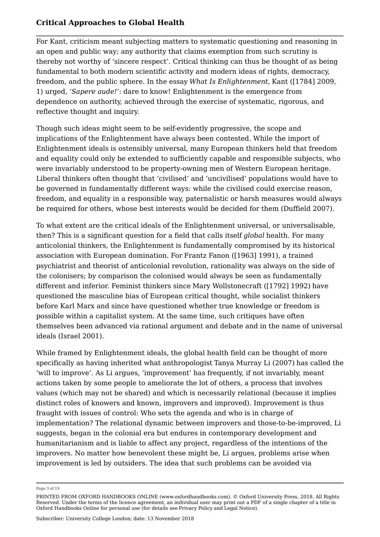For Kant, criticism meant subjecting matters to systematic questioning and reasoning in an open and public way; any authority that claims exemption from such scrutiny is thereby not worthy of 'sincere respect'. Critical thinking can thus be thought of as being fundamental to both modern scientific activity and modern ideas of rights, democracy, freedom, and the public sphere. In the essay *What Is Enlightenment*, Kant ([1784] 2009, 1) urged, '*Sapere aude!*': dare to know! Enlightenment is the emergence from dependence on authority, achieved through the exercise of systematic, rigorous, and reflective thought and inquiry.

Though such ideas might seem to be self-evidently progressive, the scope and implications of the Enlightenment have always been contested. While the import of Enlightenment ideals is ostensibly universal, many European thinkers held that freedom and equality could only be extended to sufficiently capable and responsible subjects, who were invariably understood to be property-owning men of Western European heritage. Liberal thinkers often thought that 'civilised' and 'uncivilised' populations would have to be governed in fundamentally different ways: while the civilised could exercise reason, freedom, and equality in a responsible way, paternalistic or harsh measures would always be required for others, whose best interests would be decided for them (Duffield 2007).

To what extent are the critical ideals of the Enlightenment universal, or universalisable, then? This is a significant question for a field that calls itself *global* health. For many anticolonial thinkers, the Enlightenment is fundamentally compromised by its historical association with European domination. For Frantz Fanon ([1963] 1991), a trained psychiatrist and theorist of anticolonial revolution, rationality was always on the side of the colonisers; by comparison the colonised would always be seen as fundamentally different and inferior. Feminist thinkers since Mary Wollstonecraft ([1792] 1992) have questioned the masculine bias of European critical thought, while socialist thinkers before Karl Marx and since have questioned whether true knowledge or freedom is possible within a capitalist system. At the same time, such critiques have often themselves been advanced via rational argument and debate and in the name of universal ideals (Israel 2001).

While framed by Enlightenment ideals, the global health field can be thought of more specifically as having inherited what anthropologist Tanya Murray Li (2007) has called the 'will to improve'. As Li argues, 'improvement' has frequently, if not invariably, meant actions taken by some people to ameliorate the lot of others, a process that involves values (which may not be shared) and which is necessarily relational (because it implies distinct roles of knowers and known, improvers and improved). Improvement is thus fraught with issues of control: Who sets the agenda and who is in charge of implementation? The relational dynamic between improvers and those-to-be-improved, Li suggests, began in the colonial era but endures in contemporary development and humanitarianism and is liable to affect any project, regardless of the intentions of the improvers. No matter how benevolent these might be, Li argues, problems arise when improvement is led by outsiders. The idea that such problems can be avoided via

Page 3 of 19

PRINTED FROM OXFORD HANDBOOKS ONLINE (www.oxfordhandbooks.com). © Oxford University Press, 2018. All Rights Reserved. Under the terms of the licence agreement, an individual user may print out a PDF of a single chapter of a title in Oxford Handbooks Online for personal use (for details see Privacy Policy and Legal Notice).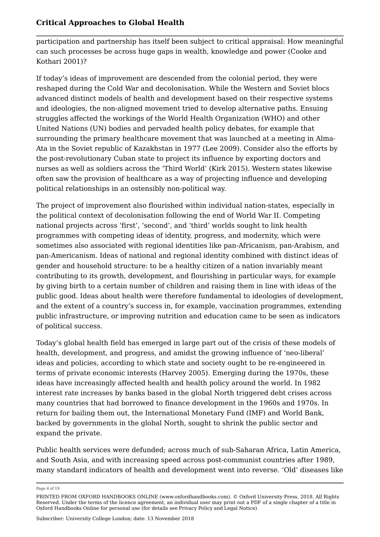participation and partnership has itself been subject to critical appraisal: How meaningful can such processes be across huge gaps in wealth, knowledge and power (Cooke and Kothari 2001)?

If today's ideas of improvement are descended from the colonial period, they were reshaped during the Cold War and decolonisation. While the Western and Soviet blocs advanced distinct models of health and development based on their respective systems and ideologies, the non-aligned movement tried to develop alternative paths. Ensuing struggles affected the workings of the World Health Organization (WHO) and other United Nations (UN) bodies and pervaded health policy debates, for example that surrounding the primary healthcare movement that was launched at a meeting in Alma-Ata in the Soviet republic of Kazakhstan in 1977 (Lee 2009). Consider also the efforts by the post-revolutionary Cuban state to project its influence by exporting doctors and nurses as well as soldiers across the 'Third World' (Kirk 2015). Western states likewise often saw the provision of healthcare as a way of projecting influence and developing political relationships in an ostensibly non-political way.

The project of improvement also flourished within individual nation-states, especially in the political context of decolonisation following the end of World War II. Competing national projects across 'first', 'second', and 'third' worlds sought to link health programmes with competing ideas of identity, progress, and modernity, which were sometimes also associated with regional identities like pan-Africanism, pan-Arabism, and pan-Americanism. Ideas of national and regional identity combined with distinct ideas of gender and household structure: to be a healthy citizen of a nation invariably meant contributing to its growth, development, and flourishing in particular ways, for example by giving birth to a certain number of children and raising them in line with ideas of the public good. Ideas about health were therefore fundamental to ideologies of development, and the extent of a country's success in, for example, vaccination programmes, extending public infrastructure, or improving nutrition and education came to be seen as indicators of political success.

Today's global health field has emerged in large part out of the crisis of these models of health, development, and progress, and amidst the growing influence of 'neo-liberal' ideas and policies, according to which state and society ought to be re-engineered in terms of private economic interests (Harvey 2005). Emerging during the 1970s, these ideas have increasingly affected health and health policy around the world. In 1982 interest rate increases by banks based in the global North triggered debt crises across many countries that had borrowed to finance development in the 1960s and 1970s. In return for bailing them out, the International Monetary Fund (IMF) and World Bank, backed by governments in the global North, sought to shrink the public sector and expand the private.

Public health services were defunded; across much of sub-Saharan Africa, Latin America, and South Asia, and with increasing speed across post-communist countries after 1989, many standard indicators of health and development went into reverse. 'Old' diseases like

Page 4 of 19

PRINTED FROM OXFORD HANDBOOKS ONLINE (www.oxfordhandbooks.com). © Oxford University Press, 2018. All Rights Reserved. Under the terms of the licence agreement, an individual user may print out a PDF of a single chapter of a title in Oxford Handbooks Online for personal use (for details see Privacy Policy and Legal Notice).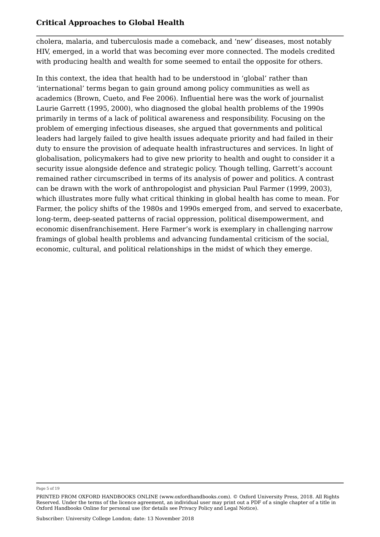cholera, malaria, and tuberculosis made a comeback, and 'new' diseases, most notably HIV, emerged, in a world that was becoming ever more connected. The models credited with producing health and wealth for some seemed to entail the opposite for others.

In this context, the idea that health had to be understood in 'global' rather than 'international' terms began to gain ground among policy communities as well as academics (Brown, Cueto, and Fee 2006). Influential here was the work of journalist Laurie Garrett (1995, 2000), who diagnosed the global health problems of the 1990s primarily in terms of a lack of political awareness and responsibility. Focusing on the problem of emerging infectious diseases, she argued that governments and political leaders had largely failed to give health issues adequate priority and had failed in their duty to ensure the provision of adequate health infrastructures and services. In light of globalisation, policymakers had to give new priority to health and ought to consider it a security issue alongside defence and strategic policy. Though telling, Garrett's account remained rather circumscribed in terms of its analysis of power and politics. A contrast can be drawn with the work of anthropologist and physician Paul Farmer (1999, 2003), which illustrates more fully what critical thinking in global health has come to mean. For Farmer, the policy shifts of the 1980s and 1990s emerged from, and served to exacerbate, long-term, deep-seated patterns of racial oppression, political disempowerment, and economic disenfranchisement. Here Farmer's work is exemplary in challenging narrow framings of global health problems and advancing fundamental criticism of the social, economic, cultural, and political relationships in the midst of which they emerge.

Page 5 of 19

PRINTED FROM OXFORD HANDBOOKS ONLINE (www.oxfordhandbooks.com). © Oxford University Press, 2018. All Rights Reserved. Under the terms of the licence agreement, an individual user may print out a PDF of a single chapter of a title in Oxford Handbooks Online for personal use (for details see Privacy Policy and Legal Notice).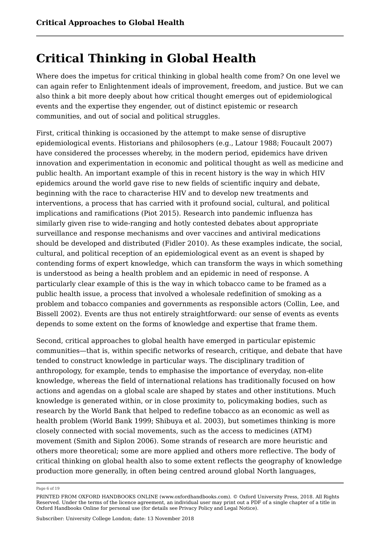## **Critical Thinking in Global Health**

Where does the impetus for critical thinking in global health come from? On one level we can again refer to Enlightenment ideals of improvement, freedom, and justice. But we can also think a bit more deeply about how critical thought emerges out of epidemiological events and the expertise they engender, out of distinct epistemic or research communities, and out of social and political struggles.

First, critical thinking is occasioned by the attempt to make sense of disruptive epidemiological events. Historians and philosophers (e.g., Latour 1988; Foucault 2007) have considered the processes whereby, in the modern period, epidemics have driven innovation and experimentation in economic and political thought as well as medicine and public health. An important example of this in recent history is the way in which HIV epidemics around the world gave rise to new fields of scientific inquiry and debate, beginning with the race to characterise HIV and to develop new treatments and interventions, a process that has carried with it profound social, cultural, and political implications and ramifications (Piot 2015). Research into pandemic influenza has similarly given rise to wide-ranging and hotly contested debates about appropriate surveillance and response mechanisms and over vaccines and antiviral medications should be developed and distributed (Fidler 2010). As these examples indicate, the social, cultural, and political reception of an epidemiological event as an event is shaped by contending forms of expert knowledge, which can transform the ways in which something is understood as being a health problem and an epidemic in need of response. A particularly clear example of this is the way in which tobacco came to be framed as a public health issue, a process that involved a wholesale redefinition of smoking as a problem and tobacco companies and governments as responsible actors (Collin, Lee, and Bissell 2002). Events are thus not entirely straightforward: our sense of events as events depends to some extent on the forms of knowledge and expertise that frame them.

Second, critical approaches to global health have emerged in particular epistemic communities—that is, within specific networks of research, critique, and debate that have tended to construct knowledge in particular ways. The disciplinary tradition of anthropology, for example, tends to emphasise the importance of everyday, non-elite knowledge, whereas the field of international relations has traditionally focused on how actions and agendas on a global scale are shaped by states and other institutions. Much knowledge is generated within, or in close proximity to, policymaking bodies, such as research by the World Bank that helped to redefine tobacco as an economic as well as health problem (World Bank 1999; Shibuya et al. 2003), but sometimes thinking is more closely connected with social movements, such as the access to medicines (ATM) movement (Smith and Siplon 2006). Some strands of research are more heuristic and others more theoretical; some are more applied and others more reflective. The body of critical thinking on global health also to some extent reflects the geography of knowledge production more generally, in often being centred around global North languages,

Page 6 of 19

PRINTED FROM OXFORD HANDBOOKS ONLINE (www.oxfordhandbooks.com). © Oxford University Press, 2018. All Rights Reserved. Under the terms of the licence agreement, an individual user may print out a PDF of a single chapter of a title in Oxford Handbooks Online for personal use (for details see Privacy Policy and Legal Notice).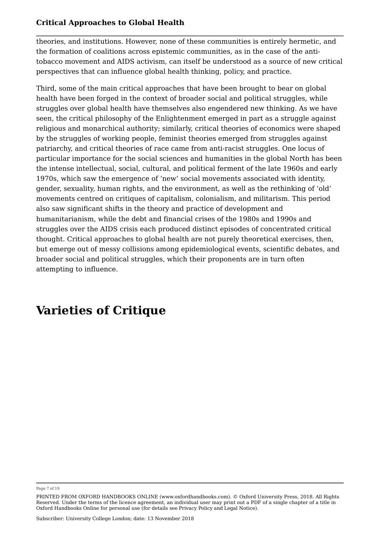theories, and institutions. However, none of these communities is entirely hermetic, and the formation of coalitions across epistemic communities, as in the case of the antitobacco movement and AIDS activism, can itself be understood as a source of new critical perspectives that can influence global health thinking, policy, and practice.

Third, some of the main critical approaches that have been brought to bear on global health have been forged in the context of broader social and political struggles, while struggles over global health have themselves also engendered new thinking. As we have seen, the critical philosophy of the Enlightenment emerged in part as a struggle against religious and monarchical authority; similarly, critical theories of economics were shaped by the struggles of working people, feminist theories emerged from struggles against patriarchy, and critical theories of race came from anti-racist struggles. One locus of particular importance for the social sciences and humanities in the global North has been the intense intellectual, social, cultural, and political ferment of the late 1960s and early 1970s, which saw the emergence of 'new' social movements associated with identity, gender, sexuality, human rights, and the environment, as well as the rethinking of 'old' movements centred on critiques of capitalism, colonialism, and militarism. This period also saw significant shifts in the theory and practice of development and humanitarianism, while the debt and financial crises of the 1980s and 1990s and struggles over the AIDS crisis each produced distinct episodes of concentrated critical thought. Critical approaches to global health are not purely theoretical exercises, then, but emerge out of messy collisions among epidemiological events, scientific debates, and broader social and political struggles, which their proponents are in turn often attempting to influence.

# **Varieties of Critique**

Page 7 of 19

PRINTED FROM OXFORD HANDBOOKS ONLINE (www.oxfordhandbooks.com). © Oxford University Press, 2018. All Rights Reserved. Under the terms of the licence agreement, an individual user may print out a PDF of a single chapter of a title in Oxford Handbooks Online for personal use (for details see Privacy Policy and Legal Notice).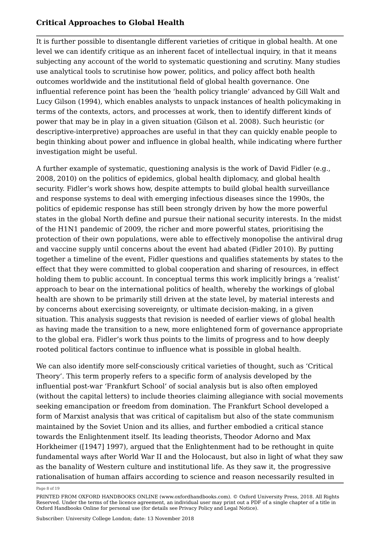It is further possible to disentangle different varieties of critique in global health. At one level we can identify critique as an inherent facet of intellectual inquiry, in that it means subjecting any account of the world to systematic questioning and scrutiny. Many studies use analytical tools to scrutinise how power, politics, and policy affect both health outcomes worldwide and the institutional field of global health governance. One influential reference point has been the 'health policy triangle' advanced by Gill Walt and Lucy Gilson (1994), which enables analysts to unpack instances of health policymaking in terms of the contexts, actors, and processes at work, then to identify different kinds of power that may be in play in a given situation (Gilson et al. 2008). Such heuristic (or descriptive-interpretive) approaches are useful in that they can quickly enable people to begin thinking about power and influence in global health, while indicating where further investigation might be useful.

A further example of systematic, questioning analysis is the work of David Fidler (e.g., 2008, 2010) on the politics of epidemics, global health diplomacy, and global health security. Fidler's work shows how, despite attempts to build global health surveillance and response systems to deal with emerging infectious diseases since the 1990s, the politics of epidemic response has still been strongly driven by how the more powerful states in the global North define and pursue their national security interests. In the midst of the H1N1 pandemic of 2009, the richer and more powerful states, prioritising the protection of their own populations, were able to effectively monopolise the antiviral drug and vaccine supply until concerns about the event had abated (Fidler 2010). By putting together a timeline of the event, Fidler questions and qualifies statements by states to the effect that they were committed to global cooperation and sharing of resources, in effect holding them to public account. In conceptual terms this work implicitly brings a 'realist' approach to bear on the international politics of health, whereby the workings of global health are shown to be primarily still driven at the state level, by material interests and by concerns about exercising sovereignty, or ultimate decision-making, in a given situation. This analysis suggests that revision is needed of earlier views of global health as having made the transition to a new, more enlightened form of governance appropriate to the global era. Fidler's work thus points to the limits of progress and to how deeply rooted political factors continue to influence what is possible in global health.

We can also identify more self-consciously critical varieties of thought, such as 'Critical Theory'. This term properly refers to a specific form of analysis developed by the influential post-war 'Frankfurt School' of social analysis but is also often employed (without the capital letters) to include theories claiming allegiance with social movements seeking emancipation or freedom from domination. The Frankfurt School developed a form of Marxist analysis that was critical of capitalism but also of the state communism maintained by the Soviet Union and its allies, and further embodied a critical stance towards the Enlightenment itself. Its leading theorists, Theodor Adorno and Max Horkheimer ([1947] 1997), argued that the Enlightenment had to be rethought in quite fundamental ways after World War II and the Holocaust, but also in light of what they saw as the banality of Western culture and institutional life. As they saw it, the progressive rationalisation of human affairs according to science and reason necessarily resulted in

Page 8 of 19

PRINTED FROM OXFORD HANDBOOKS ONLINE (www.oxfordhandbooks.com). © Oxford University Press, 2018. All Rights Reserved. Under the terms of the licence agreement, an individual user may print out a PDF of a single chapter of a title in Oxford Handbooks Online for personal use (for details see Privacy Policy and Legal Notice).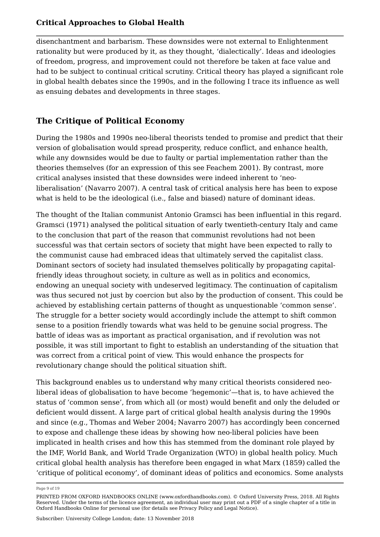disenchantment and barbarism. These downsides were not external to Enlightenment rationality but were produced by it, as they thought, 'dialectically'. Ideas and ideologies of freedom, progress, and improvement could not therefore be taken at face value and had to be subject to continual critical scrutiny. Critical theory has played a significant role in global health debates since the 1990s, and in the following I trace its influence as well as ensuing debates and developments in three stages.

## **The Critique of Political Economy**

During the 1980s and 1990s neo-liberal theorists tended to promise and predict that their version of globalisation would spread prosperity, reduce conflict, and enhance health, while any downsides would be due to faulty or partial implementation rather than the theories themselves (for an expression of this see Feachem 2001). By contrast, more critical analyses insisted that these downsides were indeed inherent to 'neoliberalisation' (Navarro 2007). A central task of critical analysis here has been to expose what is held to be the ideological (i.e., false and biased) nature of dominant ideas.

The thought of the Italian communist Antonio Gramsci has been influential in this regard. Gramsci (1971) analysed the political situation of early twentieth-century Italy and came to the conclusion that part of the reason that communist revolutions had not been successful was that certain sectors of society that might have been expected to rally to the communist cause had embraced ideas that ultimately served the capitalist class. Dominant sectors of society had insulated themselves politically by propagating capitalfriendly ideas throughout society, in culture as well as in politics and economics, endowing an unequal society with undeserved legitimacy. The continuation of capitalism was thus secured not just by coercion but also by the production of consent. This could be achieved by establishing certain patterns of thought as unquestionable 'common sense'. The struggle for a better society would accordingly include the attempt to shift common sense to a position friendly towards what was held to be genuine social progress. The battle of ideas was as important as practical organisation, and if revolution was not possible, it was still important to fight to establish an understanding of the situation that was correct from a critical point of view. This would enhance the prospects for revolutionary change should the political situation shift.

This background enables us to understand why many critical theorists considered neoliberal ideas of globalisation to have become 'hegemonic'—that is, to have achieved the status of 'common sense', from which all (or most) would benefit and only the deluded or deficient would dissent. A large part of critical global health analysis during the 1990s and since (e.g., Thomas and Weber 2004; Navarro 2007) has accordingly been concerned to expose and challenge these ideas by showing how neo-liberal policies have been implicated in health crises and how this has stemmed from the dominant role played by the IMF, World Bank, and World Trade Organization (WTO) in global health policy. Much critical global health analysis has therefore been engaged in what Marx (1859) called the 'critique of political economy', of dominant ideas of politics and economics. Some analysts

Page 9 of 19

PRINTED FROM OXFORD HANDBOOKS ONLINE (www.oxfordhandbooks.com). © Oxford University Press, 2018. All Rights Reserved. Under the terms of the licence agreement, an individual user may print out a PDF of a single chapter of a title in Oxford Handbooks Online for personal use (for details see Privacy Policy and Legal Notice).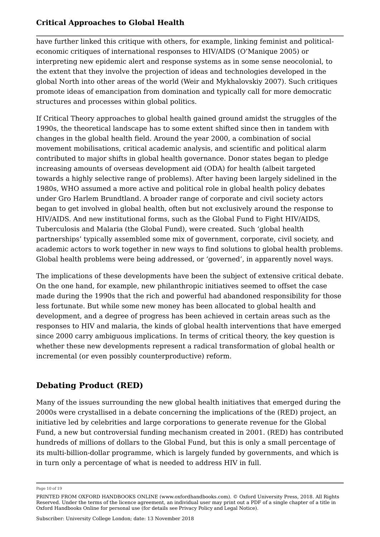have further linked this critique with others, for example, linking feminist and politicaleconomic critiques of international responses to HIV/AIDS (O'Manique 2005) or interpreting new epidemic alert and response systems as in some sense neocolonial, to the extent that they involve the projection of ideas and technologies developed in the global North into other areas of the world (Weir and Mykhalovskiy 2007). Such critiques promote ideas of emancipation from domination and typically call for more democratic structures and processes within global politics.

If Critical Theory approaches to global health gained ground amidst the struggles of the 1990s, the theoretical landscape has to some extent shifted since then in tandem with changes in the global health field. Around the year 2000, a combination of social movement mobilisations, critical academic analysis, and scientific and political alarm contributed to major shifts in global health governance. Donor states began to pledge increasing amounts of overseas development aid (ODA) for health (albeit targeted towards a highly selective range of problems). After having been largely sidelined in the 1980s, WHO assumed a more active and political role in global health policy debates under Gro Harlem Brundtland. A broader range of corporate and civil society actors began to get involved in global health, often but not exclusively around the response to HIV/AIDS. And new institutional forms, such as the Global Fund to Fight HIV/AIDS, Tuberculosis and Malaria (the Global Fund), were created. Such 'global health partnerships' typically assembled some mix of government, corporate, civil society, and academic actors to work together in new ways to find solutions to global health problems. Global health problems were being addressed, or 'governed', in apparently novel ways.

The implications of these developments have been the subject of extensive critical debate. On the one hand, for example, new philanthropic initiatives seemed to offset the case made during the 1990s that the rich and powerful had abandoned responsibility for those less fortunate. But while some new money has been allocated to global health and development, and a degree of progress has been achieved in certain areas such as the responses to HIV and malaria, the kinds of global health interventions that have emerged since 2000 carry ambiguous implications. In terms of critical theory, the key question is whether these new developments represent a radical transformation of global health or incremental (or even possibly counterproductive) reform.

## **Debating Product (RED)**

Many of the issues surrounding the new global health initiatives that emerged during the 2000s were crystallised in a debate concerning the implications of the (RED) project, an initiative led by celebrities and large corporations to generate revenue for the Global Fund, a new but controversial funding mechanism created in 2001. (RED) has contributed hundreds of millions of dollars to the Global Fund, but this is only a small percentage of its multi-billion-dollar programme, which is largely funded by governments, and which is in turn only a percentage of what is needed to address HIV in full.

Page 10 of 19

PRINTED FROM OXFORD HANDBOOKS ONLINE (www.oxfordhandbooks.com). © Oxford University Press, 2018. All Rights Reserved. Under the terms of the licence agreement, an individual user may print out a PDF of a single chapter of a title in Oxford Handbooks Online for personal use (for details see Privacy Policy and Legal Notice).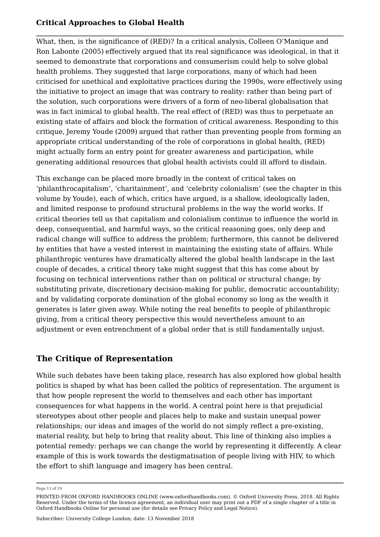What, then, is the significance of (RED)? In a critical analysis, Colleen O'Manique and Ron Labonte (2005) effectively argued that its real significance was ideological, in that it seemed to demonstrate that corporations and consumerism could help to solve global health problems. They suggested that large corporations, many of which had been criticised for unethical and exploitative practices during the 1990s, were effectively using the initiative to project an image that was contrary to reality: rather than being part of the solution, such corporations were drivers of a form of neo-liberal globalisation that was in fact inimical to global health. The real effect of (RED) was thus to perpetuate an existing state of affairs and block the formation of critical awareness. Responding to this critique, Jeremy Youde (2009) argued that rather than preventing people from forming an appropriate critical understanding of the role of corporations in global health, (RED) might actually form an entry point for greater awareness and participation, while generating additional resources that global health activists could ill afford to disdain.

This exchange can be placed more broadly in the context of critical takes on 'philanthrocapitalism', 'charitainment', and 'celebrity colonialism' (see the chapter in this volume by Youde), each of which, critics have argued, is a shallow, ideologically laden, and limited response to profound structural problems in the way the world works. If critical theories tell us that capitalism and colonialism continue to influence the world in deep, consequential, and harmful ways, so the critical reasoning goes, only deep and radical change will suffice to address the problem; furthermore, this cannot be delivered by entities that have a vested interest in maintaining the existing state of affairs. While philanthropic ventures have dramatically altered the global health landscape in the last couple of decades, a critical theory take might suggest that this has come about by focusing on technical interventions rather than on political or structural change; by substituting private, discretionary decision-making for public, democratic accountability; and by validating corporate domination of the global economy so long as the wealth it generates is later given away. While noting the real benefits to people of philanthropic giving, from a critical theory perspective this would nevertheless amount to an adjustment or even entrenchment of a global order that is still fundamentally unjust.

## **The Critique of Representation**

While such debates have been taking place, research has also explored how global health politics is shaped by what has been called the politics of representation. The argument is that how people represent the world to themselves and each other has important consequences for what happens in the world. A central point here is that prejudicial stereotypes about other people and places help to make and sustain unequal power relationships; our ideas and images of the world do not simply reflect a pre-existing, material reality, but help to bring that reality about. This line of thinking also implies a potential remedy: perhaps we can change the world by representing it differently. A clear example of this is work towards the destigmatisation of people living with HIV, to which the effort to shift language and imagery has been central.

Page 11 of 19

PRINTED FROM OXFORD HANDBOOKS ONLINE (www.oxfordhandbooks.com). © Oxford University Press, 2018. All Rights Reserved. Under the terms of the licence agreement, an individual user may print out a PDF of a single chapter of a title in Oxford Handbooks Online for personal use (for details see Privacy Policy and Legal Notice).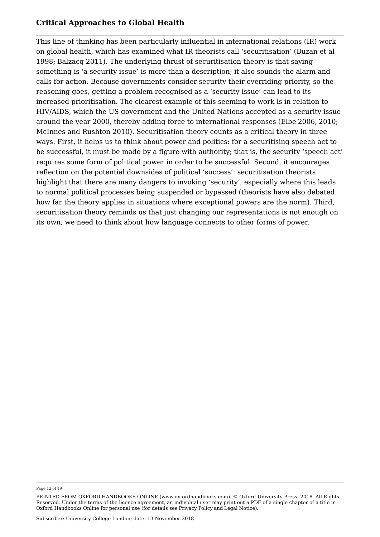This line of thinking has been particularly influential in international relations (IR) work on global health, which has examined what IR theorists call 'securitisation' (Buzan et al 1998; Balzacq 2011). The underlying thrust of securitisation theory is that saying something is 'a security issue' is more than a description; it also sounds the alarm and calls for action. Because governments consider security their overriding priority, so the reasoning goes, getting a problem recognised as a 'security issue' can lead to its increased prioritisation. The clearest example of this seeming to work is in relation to HIV/AIDS, which the US government and the United Nations accepted as a security issue around the year 2000, thereby adding force to international responses (Elbe 2006, 2010; McInnes and Rushton 2010). Securitisation theory counts as a critical theory in three ways. First, it helps us to think about power and politics: for a securitising speech act to be successful, it must be made by a figure with authority; that is, the security 'speech act' requires some form of political power in order to be successful. Second, it encourages reflection on the potential downsides of political 'success': securitisation theorists highlight that there are many dangers to invoking 'security', especially where this leads to normal political processes being suspended or bypassed (theorists have also debated how far the theory applies in situations where exceptional powers are the norm). Third, securitisation theory reminds us that just changing our representations is not enough on its own; we need to think about how language connects to other forms of power.

Page 12 of 19

PRINTED FROM OXFORD HANDBOOKS ONLINE (www.oxfordhandbooks.com). © Oxford University Press, 2018. All Rights Reserved. Under the terms of the licence agreement, an individual user may print out a PDF of a single chapter of a title in Oxford Handbooks Online for personal use (for details see Privacy Policy and Legal Notice).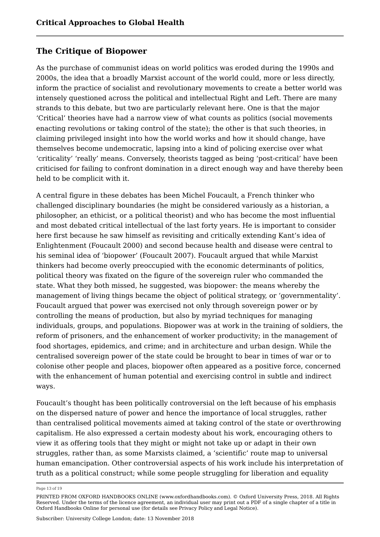## **The Critique of Biopower**

As the purchase of communist ideas on world politics was eroded during the 1990s and 2000s, the idea that a broadly Marxist account of the world could, more or less directly, inform the practice of socialist and revolutionary movements to create a better world was intensely questioned across the political and intellectual Right and Left. There are many strands to this debate, but two are particularly relevant here. One is that the major 'Critical' theories have had a narrow view of what counts as politics (social movements enacting revolutions or taking control of the state); the other is that such theories, in claiming privileged insight into how the world works and how it should change, have themselves become undemocratic, lapsing into a kind of policing exercise over what 'criticality' 'really' means. Conversely, theorists tagged as being 'post-critical' have been criticised for failing to confront domination in a direct enough way and have thereby been held to be complicit with it.

A central figure in these debates has been Michel Foucault, a French thinker who challenged disciplinary boundaries (he might be considered variously as a historian, a philosopher, an ethicist, or a political theorist) and who has become the most influential and most debated critical intellectual of the last forty years. He is important to consider here first because he saw himself as revisiting and critically extending Kant's idea of Enlightenment (Foucault 2000) and second because health and disease were central to his seminal idea of 'biopower' (Foucault 2007). Foucault argued that while Marxist thinkers had become overly preoccupied with the economic determinants of politics, political theory was fixated on the figure of the sovereign ruler who commanded the state. What they both missed, he suggested, was biopower: the means whereby the management of living things became the object of political strategy, or 'governmentality'. Foucault argued that power was exercised not only through sovereign power or by controlling the means of production, but also by myriad techniques for managing individuals, groups, and populations. Biopower was at work in the training of soldiers, the reform of prisoners, and the enhancement of worker productivity; in the management of food shortages, epidemics, and crime; and in architecture and urban design. While the centralised sovereign power of the state could be brought to bear in times of war or to colonise other people and places, biopower often appeared as a positive force, concerned with the enhancement of human potential and exercising control in subtle and indirect ways.

Foucault's thought has been politically controversial on the left because of his emphasis on the dispersed nature of power and hence the importance of local struggles, rather than centralised political movements aimed at taking control of the state or overthrowing capitalism. He also expressed a certain modesty about his work, encouraging others to view it as offering tools that they might or might not take up or adapt in their own struggles, rather than, as some Marxists claimed, a 'scientific' route map to universal human emancipation. Other controversial aspects of his work include his interpretation of truth as a political construct; while some people struggling for liberation and equality

Page 13 of 19

PRINTED FROM OXFORD HANDBOOKS ONLINE (www.oxfordhandbooks.com). © Oxford University Press, 2018. All Rights Reserved. Under the terms of the licence agreement, an individual user may print out a PDF of a single chapter of a title in Oxford Handbooks Online for personal use (for details see Privacy Policy and Legal Notice).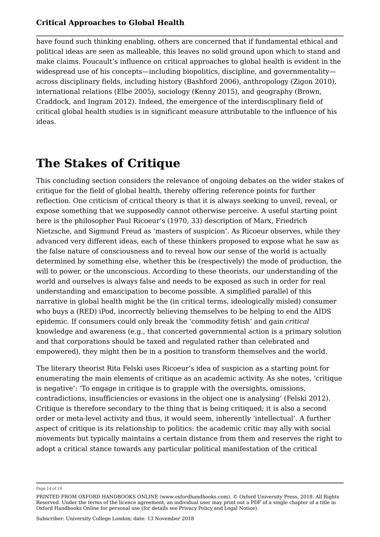have found such thinking enabling, others are concerned that if fundamental ethical and political ideas are seen as malleable, this leaves no solid ground upon which to stand and make claims. Foucault's influence on critical approaches to global health is evident in the widespread use of his concepts—including biopolitics, discipline, and governmentality across disciplinary fields, including history (Bashford 2006), anthropology (Zigon 2010), international relations (Elbe 2005), sociology (Kenny 2015), and geography (Brown, Craddock, and Ingram 2012). Indeed, the emergence of the interdisciplinary field of critical global health studies is in significant measure attributable to the influence of his ideas.

## **The Stakes of Critique**

This concluding section considers the relevance of ongoing debates on the wider stakes of critique for the field of global health, thereby offering reference points for further reflection. One criticism of critical theory is that it is always seeking to unveil, reveal, or expose something that we supposedly cannot otherwise perceive. A useful starting point here is the philosopher Paul Ricoeur's (1970, 33) description of Marx, Friedrich Nietzsche, and Sigmund Freud as 'masters of suspicion'. As Ricoeur observes, while they advanced very different ideas, each of these thinkers proposed to expose what he saw as the false nature of consciousness and to reveal how our sense of the world is actually determined by something else, whether this be (respectively) the mode of production, the will to power, or the unconscious. According to these theorists, our understanding of the world and ourselves is always false and needs to be exposed as such in order for real understanding and emancipation to become possible. A simplified parallel of this narrative in global health might be the (in critical terms, ideologically misled) consumer who buys a (RED) iPod, incorrectly believing themselves to be helping to end the AIDS epidemic. If consumers could only break the 'commodity fetish' and gain *critical* knowledge and awareness (e.g., that concerted governmental action is a primary solution and that corporations should be taxed and regulated rather than celebrated and empowered), they might then be in a position to transform themselves and the world.

The literary theorist Rita Felski uses Ricoeur's idea of suspicion as a starting point for enumerating the main elements of critique as an academic activity. As she notes, 'critique is negative': 'To engage in critique is to grapple with the oversights, omissions, contradictions, insufficiencies or evasions in the object one is analysing' (Felski 2012). Critique is therefore secondary to the thing that is being critiqued; it is also a second order or meta-level activity and thus, it would seem, inherently 'intellectual'. A further aspect of critique is its relationship to politics: the academic critic may ally with social movements but typically maintains a certain distance from them and reserves the right to adopt a critical stance towards any particular political manifestation of the critical

Page 14 of 19

PRINTED FROM OXFORD HANDBOOKS ONLINE (www.oxfordhandbooks.com). © Oxford University Press, 2018. All Rights Reserved. Under the terms of the licence agreement, an individual user may print out a PDF of a single chapter of a title in Oxford Handbooks Online for personal use (for details see Privacy Policy and Legal Notice).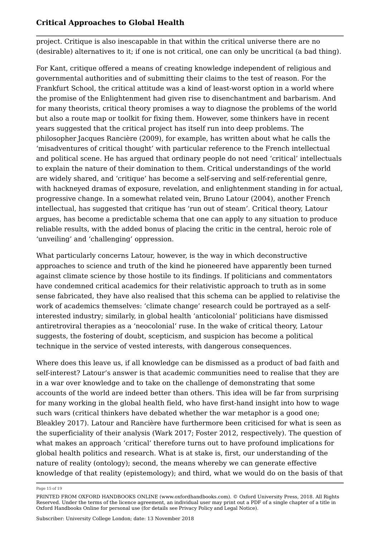project. Critique is also inescapable in that within the critical universe there are no (desirable) alternatives to it; if one is not critical, one can only be uncritical (a bad thing).

For Kant, critique offered a means of creating knowledge independent of religious and governmental authorities and of submitting their claims to the test of reason. For the Frankfurt School, the critical attitude was a kind of least-worst option in a world where the promise of the Enlightenment had given rise to disenchantment and barbarism. And for many theorists, critical theory promises a way to diagnose the problems of the world but also a route map or toolkit for fixing them. However, some thinkers have in recent years suggested that the critical project has itself run into deep problems. The philosopher Jacques Rancière (2009), for example, has written about what he calls the 'misadventures of critical thought' with particular reference to the French intellectual and political scene. He has argued that ordinary people do not need 'critical' intellectuals to explain the nature of their domination to them. Critical understandings of the world are widely shared, and 'critique' has become a self-serving and self-referential genre, with hackneyed dramas of exposure, revelation, and enlightenment standing in for actual, progressive change. In a somewhat related vein, Bruno Latour (2004), another French intellectual, has suggested that critique has 'run out of steam'. Critical theory, Latour argues, has become a predictable schema that one can apply to any situation to produce reliable results, with the added bonus of placing the critic in the central, heroic role of 'unveiling' and 'challenging' oppression.

What particularly concerns Latour, however, is the way in which deconstructive approaches to science and truth of the kind he pioneered have apparently been turned against climate science by those hostile to its findings. If politicians and commentators have condemned critical academics for their relativistic approach to truth as in some sense fabricated, they have also realised that this schema can be applied to relativise the work of academics themselves: 'climate change' research could be portrayed as a selfinterested industry; similarly, in global health 'anticolonial' politicians have dismissed antiretroviral therapies as a 'neocolonial' ruse. In the wake of critical theory, Latour suggests, the fostering of doubt, scepticism, and suspicion has become a political technique in the service of vested interests, with dangerous consequences.

Where does this leave us, if all knowledge can be dismissed as a product of bad faith and self-interest? Latour's answer is that academic communities need to realise that they are in a war over knowledge and to take on the challenge of demonstrating that some accounts of the world are indeed better than others. This idea will be far from surprising for many working in the global health field, who have first-hand insight into how to wage such wars (critical thinkers have debated whether the war metaphor is a good one; Bleakley 2017). Latour and Rancière have furthermore been criticised for what is seen as the superficiality of their analysis (Wark 2017; Foster 2012, respectively). The question of what makes an approach 'critical' therefore turns out to have profound implications for global health politics and research. What is at stake is, first, our understanding of the nature of reality (ontology); second, the means whereby we can generate effective knowledge of that reality (epistemology); and third, what we would do on the basis of that

Page 15 of 19

PRINTED FROM OXFORD HANDBOOKS ONLINE (www.oxfordhandbooks.com). © Oxford University Press, 2018. All Rights Reserved. Under the terms of the licence agreement, an individual user may print out a PDF of a single chapter of a title in Oxford Handbooks Online for personal use (for details see Privacy Policy and Legal Notice).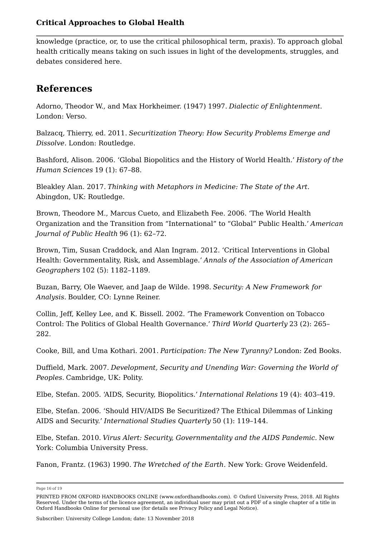knowledge (practice, or, to use the critical philosophical term, praxis). To approach global health critically means taking on such issues in light of the developments, struggles, and debates considered here.

## **References**

Adorno, Theodor W., and Max Horkheimer. (1947) 1997. *Dialectic of Enlightenment.* London: Verso.

Balzacq, Thierry, ed. 2011. *Securitization Theory: How Security Problems Emerge and Dissolve*. London: Routledge.

Bashford, Alison. 2006. 'Global Biopolitics and the History of World Health.' *History of the Human Sciences* 19 (1): 67–88.

Bleakley Alan. 2017. *Thinking with Metaphors in Medicine: The State of the Art.* Abingdon, UK: Routledge.

Brown, Theodore M., Marcus Cueto, and Elizabeth Fee. 2006. 'The World Health Organization and the Transition from "International" to "Global" Public Health.' *American Journal of Public Health* 96 (1): 62–72.

Brown, Tim, Susan Craddock, and Alan Ingram. 2012. 'Critical Interventions in Global Health: Governmentality, Risk, and Assemblage.' *Annals of the Association of American Geographers* 102 (5): 1182–1189.

Buzan, Barry, Ole Waever, and Jaap de Wilde. 1998. *Security: A New Framework for Analysis.* Boulder, CO: Lynne Reiner.

Collin, Jeff, Kelley Lee, and K. Bissell. 2002. 'The Framework Convention on Tobacco Control: The Politics of Global Health Governance.' *Third World Quarterly* 23 (2): 265– 282.

Cooke, Bill, and Uma Kothari. 2001. *Participation: The New Tyranny?* London: Zed Books.

Duffield, Mark. 2007. *Development, Security and Unending War: Governing the World of Peoples.* Cambridge, UK: Polity.

Elbe, Stefan. 2005. 'AIDS, Security, Biopolitics.' *International Relations* 19 (4): 403–419.

Elbe, Stefan. 2006. 'Should HIV/AIDS Be Securitized? The Ethical Dilemmas of Linking AIDS and Security.' *International Studies Quarterly* 50 (1): 119–144.

Elbe, Stefan. 2010. *Virus Alert: Security, Governmentality and the AIDS Pandemic.* New York: Columbia University Press.

Fanon, Frantz. (1963) 1990. *The Wretched of the Earth*. New York: Grove Weidenfeld.

Page 16 of 19

PRINTED FROM OXFORD HANDBOOKS ONLINE (www.oxfordhandbooks.com). © Oxford University Press, 2018. All Rights Reserved. Under the terms of the licence agreement, an individual user may print out a PDF of a single chapter of a title in Oxford Handbooks Online for personal use (for details see Privacy Policy and Legal Notice).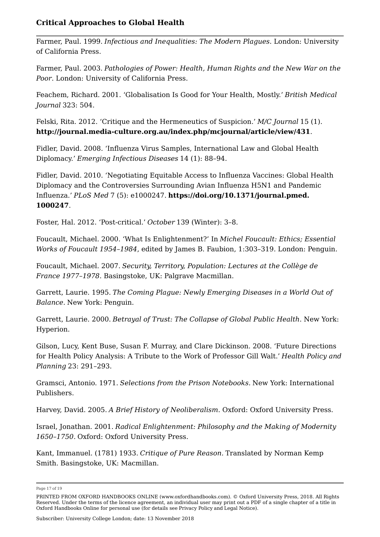Farmer, Paul. 1999. *Infectious and Inequalities: The Modern Plagues*. London: University of California Press.

Farmer, Paul. 2003. *Pathologies of Power: Health, Human Rights and the New War on the Poor*. London: University of California Press.

Feachem, Richard. 2001. 'Globalisation Is Good for Your Health, Mostly.' *British Medical Journal* 323: 504.

Felski, Rita. 2012. 'Critique and the Hermeneutics of Suspicion.' *M/C Journal* 15 (1). **http://journal.media-culture.org.au/index.php/mcjournal/article/view/431**.

Fidler, David. 2008. 'Influenza Virus Samples, International Law and Global Health Diplomacy.' *Emerging Infectious Diseases* 14 (1): 88–94.

Fidler, David. 2010. 'Negotiating Equitable Access to Influenza Vaccines: Global Health Diplomacy and the Controversies Surrounding Avian Influenza H5N1 and Pandemic Influenza.' *PLoS Med* 7 (5): e1000247. **https://doi.org/10.1371/journal.pmed. 1000247**.

Foster, Hal. 2012. 'Post-critical.' *October* 139 (Winter): 3–8.

Foucault, Michael. 2000. 'What Is Enlightenment?' In *Michel Foucault: Ethics; Essential Works of Foucault 1954–1984*, edited by James B. Faubion, 1:303–319. London: Penguin.

Foucault, Michael. 2007. *Security, Territory, Population: Lectures at the Collège de France 1977–1978*. Basingstoke, UK: Palgrave Macmillan.

Garrett, Laurie. 1995. *The Coming Plague: Newly Emerging Diseases in a World Out of Balance.* New York: Penguin.

Garrett, Laurie. 2000. *Betrayal of Trust: The Collapse of Global Public Health*. New York: Hyperion.

Gilson, Lucy, Kent Buse, Susan F. Murray, and Clare Dickinson. 2008. 'Future Directions for Health Policy Analysis: A Tribute to the Work of Professor Gill Walt.' *Health Policy and Planning* 23: 291–293.

Gramsci, Antonio. 1971. *Selections from the Prison Notebooks.* New York: International Publishers.

Harvey, David. 2005. *A Brief History of Neoliberalism*. Oxford: Oxford University Press.

Israel, Jonathan. 2001. *Radical Enlightenment: Philosophy and the Making of Modernity 1650–1750.* Oxford: Oxford University Press.

Kant, Immanuel. (1781) 1933. *Critique of Pure Reason.* Translated by Norman Kemp Smith. Basingstoke, UK: Macmillan.

Page 17 of 19

Subscriber: University College London; date: 13 November 2018

PRINTED FROM OXFORD HANDBOOKS ONLINE (www.oxfordhandbooks.com). © Oxford University Press, 2018. All Rights Reserved. Under the terms of the licence agreement, an individual user may print out a PDF of a single chapter of a title in Oxford Handbooks Online for personal use (for details see Privacy Policy and Legal Notice).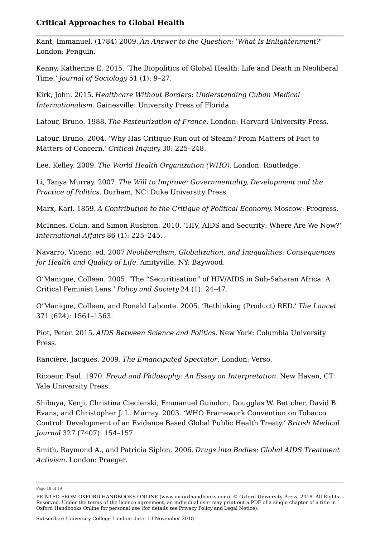Kant, Immanuel. (1784) 2009. *An Answer to the Question: 'What Is Enlightenment?'* London: Penguin.

Kenny, Katherine E. 2015. 'The Biopolitics of Global Health: Life and Death in Neoliberal Time.' *Journal of Sociology* 51 (1): 9–27.

Kirk, John. 2015. *Healthcare Without Borders: Understanding Cuban Medical Internationalism.* Gainesville: University Press of Florida.

Latour, Bruno. 1988. *The Pasteurization of France*. London: Harvard University Press.

Latour, Bruno. 2004. 'Why Has Critique Run out of Steam? From Matters of Fact to Matters of Concern.' *Critical Inquiry* 30: 225–248.

Lee, Kelley. 2009. *The World Health Organization (WHO).* London: Routledge.

Li, Tanya Murray. 2007. *The Will to Improve: Governmentality, Development and the Practice of Politics.* Durham, NC: Duke University Press

Marx, Karl. 1859. *A Contribution to the Critique of Political Economy.* Moscow: Progress.

McInnes, Colin, and Simon Rushton. 2010. 'HIV, AIDS and Security: Where Are We Now?' *International Affairs* 86 (1): 225–245.

Navarro, Vicenc, ed. 2007 *Neoliberalism, Globalization, and Inequalities: Consequences for Health and Quality of Life.* Amityville, NY: Baywood.

O'Manique, Colleen. 2005. 'The "Securitisation" of HIV/AIDS in Sub-Saharan Africa: A Critical Feminist Lens.' *Policy and Society* 24 (1): 24–47.

O'Manique, Colleen, and Ronald Labonte. 2005. 'Rethinking (Product) RED.' *The Lancet* 371 (624): 1561–1563.

Piot, Peter. 2015. *AIDS Between Science and Politics.* New York: Columbia University Press.

Rancière, Jacques. 2009. *The Emancipated Spectator*. London: Verso.

Ricoeur, Paul. 1970. *Freud and Philosophy: An Essay on Interpretation.* New Haven, CT: Yale University Press.

Shibuya, Kenji, Christina Ciecierski, Emmanuel Guindon, Dougglas W. Bettcher, David B. Evans, and Christopher J. L. Murray. 2003. 'WHO Framework Convention on Tobacco Control: Development of an Evidence Based Global Public Health Treaty.' *British Medical Journal* 327 (7407): 154–157.

Smith, Raymond A., and Patricia Siplon. 2006. *Drugs into Bodies: Global AIDS Treatment Activism.* London: Praeger.

Page 18 of 19

PRINTED FROM OXFORD HANDBOOKS ONLINE (www.oxfordhandbooks.com). © Oxford University Press, 2018. All Rights Reserved. Under the terms of the licence agreement, an individual user may print out a PDF of a single chapter of a title in Oxford Handbooks Online for personal use (for details see Privacy Policy and Legal Notice).